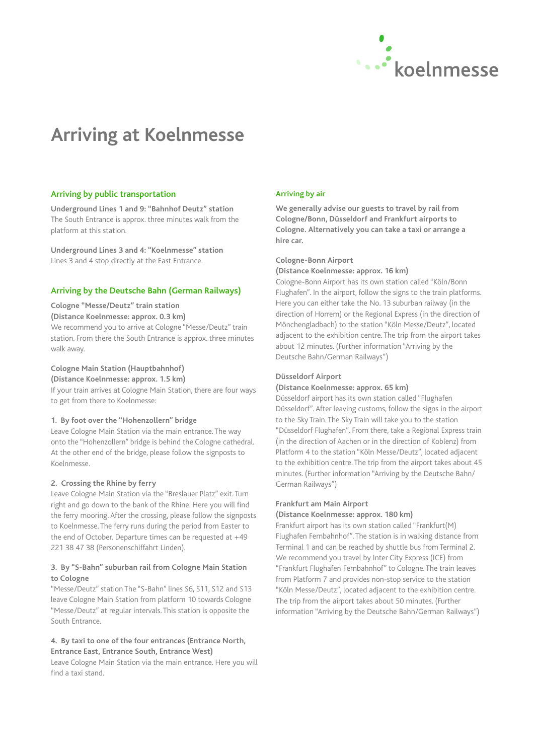

# **Arriving at Koelnmesse**

#### **Arriving by public transportation**

**Underground Lines 1 and 9: "Bahnhof Deutz" station** The South Entrance is approx. three minutes walk from the platform at this station.

**Underground Lines 3 and 4: "Koelnmesse" station** Lines 3 and 4 stop directly at the East Entrance.

#### **Arriving by the Deutsche Bahn (German Railways)**

#### **Cologne "Messe/Deutz" train station (Distance Koelnmesse: approx. 0.3 km)**

We recommend you to arrive at Cologne "Messe/Deutz" train station. From there the South Entrance is approx. three minutes walk away.

### **Cologne Main Station (Hauptbahnhof)**

**(Distance Koelnmesse: approx. 1.5 km)**

If your train arrives at Cologne Main Station, there are four ways to get from there to Koelnmesse:

#### **1. By foot over the "Hohenzollern" bridge**

Leave Cologne Main Station via the main entrance. The way onto the "Hohenzollern" bridge is behind the Cologne cathedral. At the other end of the bridge, please follow the signposts to Koelnmesse.

#### **2. Crossing the Rhine by ferry**

Leave Cologne Main Station via the "Breslauer Platz" exit. Turn right and go down to the bank of the Rhine. Here you will find the ferry mooring. After the crossing, please follow the signposts to Koelnmesse. The ferry runs during the period from Easter to the end of October. Departure times can be requested at +49 221 38 47 38 (Personenschiffahrt Linden).

#### **3. By "S-Bahn" suburban rail from Cologne Main Station to Cologne**

"Messe/Deutz" station The "S-Bahn" lines S6, S11, S12 and S13 leave Cologne Main Station from platform 10 towards Cologne "Messe/Deutz" at regular intervals. This station is opposite the South Entrance.

#### **4. By taxi to one of the four entrances (Entrance North, Entrance East, Entrance South, Entrance West)**

Leave Cologne Main Station via the main entrance. Here you will find a taxi stand.

### **Arriving by air**

**We generally advise our guests to travel by rail from Cologne/Bonn, Düsseldorf and Frankfurt airports to Cologne. Alternatively you can take a taxi or arrange a hire car.**

#### **Cologne-Bonn Airport**

#### **(Distance Koelnmesse: approx. 16 km)**

Cologne-Bonn Airport has its own station called "Köln/Bonn Flughafen". In the airport, follow the signs to the train platforms. Here you can either take the No. 13 suburban railway (in the direction of Horrem) or the Regional Express (in the direction of Mönchengladbach) to the station "Köln Messe/Deutz", located adjacent to the exhibition centre. The trip from the airport takes about 12 minutes. (Further information "Arriving by the Deutsche Bahn/German Railways")

#### **Düsseldorf Airport**

#### **(Distance Koelnmesse: approx. 65 km)**

Düsseldorf airport has its own station called "Flughafen Düsseldorf". After leaving customs, follow the signs in the airport to the Sky Train. The Sky Train will take you to the station "Düsseldorf Flughafen". From there, take a Regional Express train (in the direction of Aachen or in the direction of Koblenz) from Platform 4 to the station "Köln Messe/Deutz", located adjacent to the exhibition centre. The trip from the airport takes about 45 minutes. (Further information "Arriving by the Deutsche Bahn/ German Railways")

#### **Frankfurt am Main Airport**

#### **(Distance Koelnmesse: approx. 180 km)**

Frankfurt airport has its own station called "Frankfurt(M) Flughafen Fernbahnhof". The station is in walking distance from Terminal 1 and can be reached by shuttle bus from Terminal 2. We recommend you travel by Inter City Express (ICE) from "Frankfurt Flughafen Fernbahnhof" to Cologne. The train leaves from Platform 7 and provides non-stop service to the station "Köln Messe/Deutz", located adjacent to the exhibition centre. The trip from the airport takes about 50 minutes. (Further information "Arriving by the Deutsche Bahn/German Railways")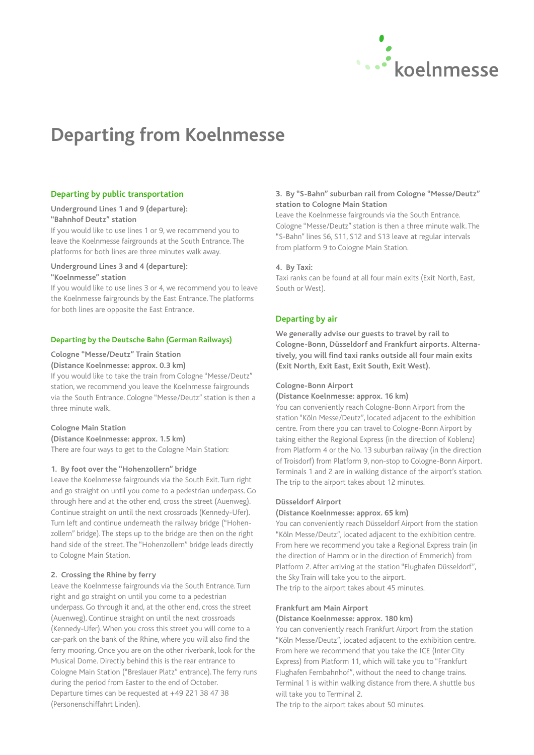

# **Departing from Koelnmesse**

#### **Departing by public transportation**

#### **Underground Lines 1 and 9 (departure): "Bahnhof Deutz" station**

If you would like to use lines 1 or 9, we recommend you to leave the Koelnmesse fairgrounds at the South Entrance. The platforms for both lines are three minutes walk away.

### **Underground Lines 3 and 4 (departure):**

#### **"Koelnmesse" station**

If you would like to use lines 3 or 4, we recommend you to leave the Koelnmesse fairgrounds by the East Entrance. The platforms for both lines are opposite the East Entrance.

#### **Departing by the Deutsche Bahn (German Railways)**

#### **Cologne "Messe/Deutz" Train Station**

#### **(Distance Koelnmesse: approx. 0.3 km)**

If you would like to take the train from Cologne "Messe/Deutz" station, we recommend you leave the Koelnmesse fairgrounds via the South Entrance. Cologne "Messe/Deutz" station is then a three minute walk.

#### **Cologne Main Station**

**(Distance Koelnmesse: approx. 1.5 km)**

There are four ways to get to the Cologne Main Station:

#### **1. By foot over the "Hohenzollern" bridge**

Leave the Koelnmesse fairgrounds via the South Exit. Turn right and go straight on until you come to a pedestrian underpass. Go through here and at the other end, cross the street (Auenweg). Continue straight on until the next crossroads (Kennedy-Ufer). Turn left and continue underneath the railway bridge ("Hohenzollern" bridge). The steps up to the bridge are then on the right hand side of the street. The "Hohenzollern" bridge leads directly to Cologne Main Station.

#### **2. Crossing the Rhine by ferry**

Leave the Koelnmesse fairgrounds via the South Entrance. Turn right and go straight on until you come to a pedestrian underpass. Go through it and, at the other end, cross the street (Auenweg). Continue straight on until the next crossroads (Kennedy-Ufer). When you cross this street you will come to a car-park on the bank of the Rhine, where you will also find the ferry mooring. Once you are on the other riverbank, look for the Musical Dome. Directly behind this is the rear entrance to Cologne Main Station ("Breslauer Platz" entrance). The ferry runs during the period from Easter to the end of October. Departure times can be requested at +49 221 38 47 38 (Personenschiffahrt Linden).

#### **3. By "S-Bahn" suburban rail from Cologne "Messe/Deutz" station to Cologne Main Station**

Leave the Koelnmesse fairgrounds via the South Entrance. Cologne "Messe/Deutz" station is then a three minute walk. The "S-Bahn" lines S6, S11, S12 and S13 leave at regular intervals from platform 9 to Cologne Main Station.

#### **4. By Taxi:**

Taxi ranks can be found at all four main exits (Exit North, East, South or West).

### **Departing by air**

**We generally advise our guests to travel by rail to Cologne-Bonn, Düsseldorf and Frankfurt airports. Alterna**tively, you will find taxi ranks outside all four main exits **(Exit North, Exit East, Exit South, Exit West).**

#### **Cologne-Bonn Airport**

#### **(Distance Koelnmesse: approx. 16 km)**

You can conveniently reach Cologne-Bonn Airport from the station "Köln Messe/Deutz", located adjacent to the exhibition centre. From there you can travel to Cologne-Bonn Airport by taking either the Regional Express (in the direction of Koblenz) from Platform 4 or the No. 13 suburban railway (in the direction of Troisdorf) from Platform 9, non-stop to Cologne-Bonn Airport. Terminals 1 and 2 are in walking distance of the airport's station. The trip to the airport takes about 12 minutes.

#### **Düsseldorf Airport**

#### **(Distance Koelnmesse: approx. 65 km)**

You can conveniently reach Düsseldorf Airport from the station "Köln Messe/Deutz", located adjacent to the exhibition centre. From here we recommend you take a Regional Express train (in the direction of Hamm or in the direction of Emmerich) from Platform 2. After arriving at the station "Flughafen Düsseldorf", the Sky Train will take you to the airport.

The trip to the airport takes about 45 minutes.

#### **Frankfurt am Main Airport**

#### **(Distance Koelnmesse: approx. 180 km)**

You can conveniently reach Frankfurt Airport from the station "Köln Messe/Deutz", located adjacent to the exhibition centre. From here we recommend that you take the ICE (Inter City Express) from Platform 11, which will take you to "Frankfurt Flughafen Fernbahnhof", without the need to change trains. Terminal 1 is within walking distance from there. A shuttle bus will take you to Terminal 2.

The trip to the airport takes about 50 minutes.